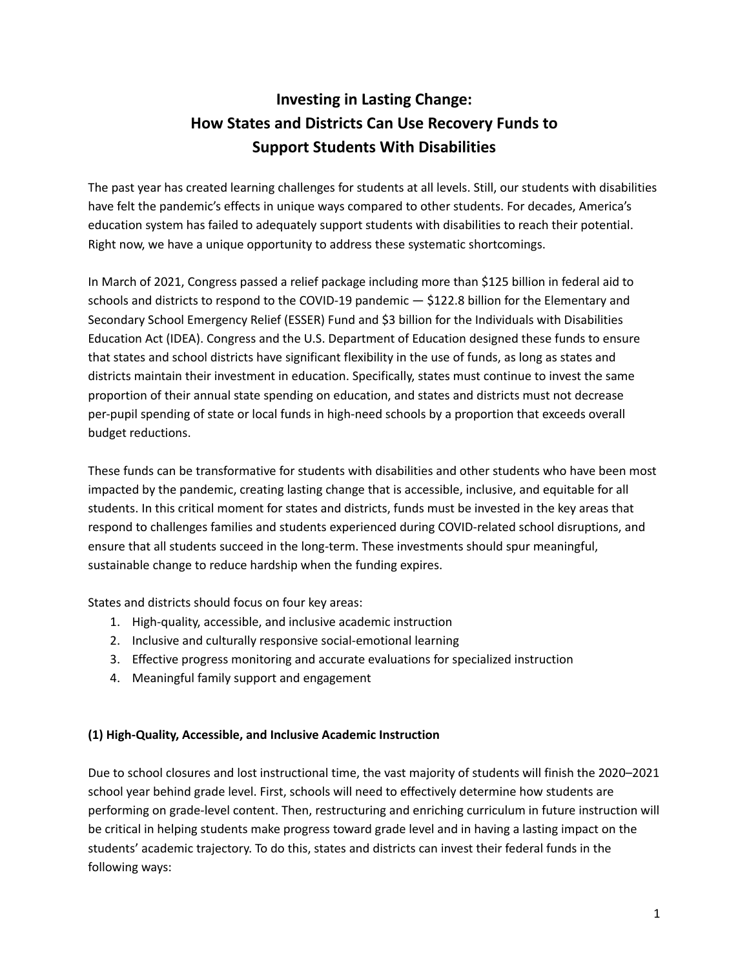# **Investing in Lasting Change: How States and Districts Can Use Recovery Funds to Support Students With Disabilities**

The past year has created learning challenges for students at all levels. Still, our students with disabilities have felt the pandemic's effects in unique ways compared to other students. For decades, America's education system has failed to adequately support students with disabilities to reach their potential. Right now, we have a unique opportunity to address these systematic shortcomings.

In March of 2021, Congress passed a relief package including more than \$125 billion in federal aid to schools and districts to respond to the COVID-19 pandemic — \$122.8 billion for the Elementary and Secondary School Emergency Relief (ESSER) Fund and \$3 billion for the Individuals with Disabilities Education Act (IDEA). Congress and the U.S. Department of Education designed these funds to ensure that states and school districts have significant flexibility in the use of funds, as long as states and districts maintain their investment in education. Specifically, states must continue to invest the same proportion of their annual state spending on education, and states and districts must not decrease per-pupil spending of state or local funds in high-need schools by a proportion that exceeds overall budget reductions.

These funds can be transformative for students with disabilities and other students who have been most impacted by the pandemic, creating lasting change that is accessible, inclusive, and equitable for all students. In this critical moment for states and districts, funds must be invested in the key areas that respond to challenges families and students experienced during COVID-related school disruptions, and ensure that all students succeed in the long-term. These investments should spur meaningful, sustainable change to reduce hardship when the funding expires.

States and districts should focus on four key areas:

- 1. High-quality, accessible, and inclusive academic instruction
- 2. Inclusive and culturally responsive social-emotional learning
- 3. Effective progress monitoring and accurate evaluations for specialized instruction
- 4. Meaningful family support and engagement

# **(1) High-Quality, Accessible, and Inclusive Academic Instruction**

Due to school closures and lost instructional time, the vast majority of students will finish the 2020–2021 school year behind grade level. First, schools will need to effectively determine how students are performing on grade-level content. Then, restructuring and enriching curriculum in future instruction will be critical in helping students make progress toward grade level and in having a lasting impact on the students' academic trajectory. To do this, states and districts can invest their federal funds in the following ways: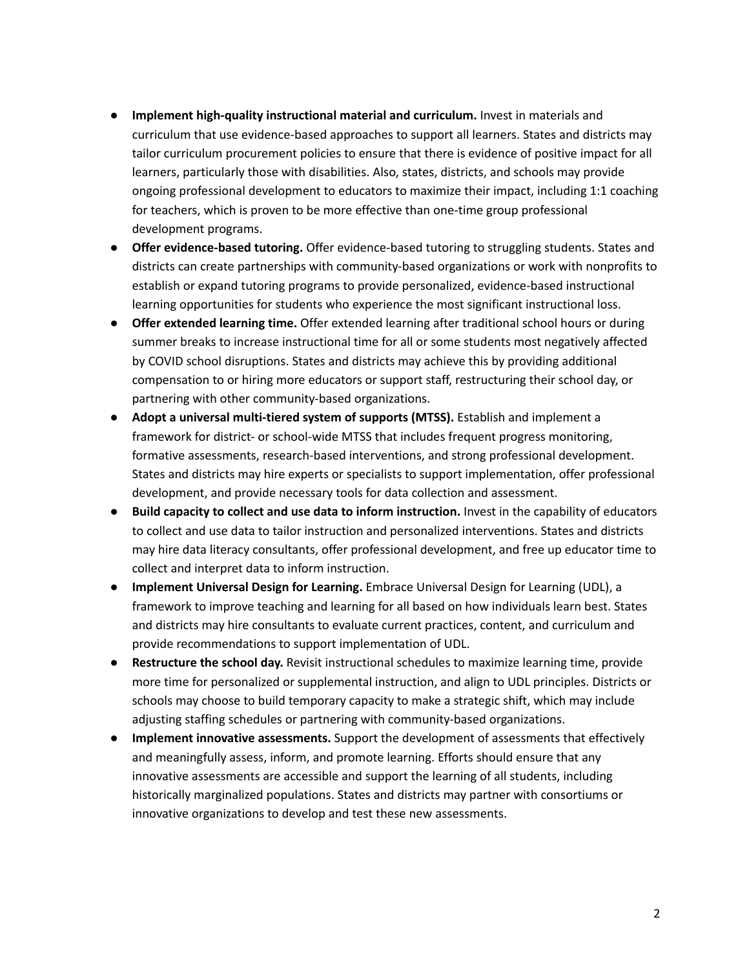- **Implement high-quality instructional material and curriculum.** Invest in materials and curriculum that use evidence-based approaches to support all learners. States and districts may tailor curriculum procurement policies to ensure that there is evidence of positive impact for all learners, particularly those with disabilities. Also, states, districts, and schools may provide ongoing professional development to educators to maximize their impact, including 1:1 coaching for teachers, which is proven to be more effective than one-time group professional development programs.
- **Offer evidence-based tutoring.** Offer evidence-based tutoring to struggling students. States and districts can create partnerships with community-based organizations or work with nonprofits to establish or expand tutoring programs to provide personalized, evidence-based instructional learning opportunities for students who experience the most significant instructional loss.
- **Offer extended learning time.** Offer extended learning after traditional school hours or during summer breaks to increase instructional time for all or some students most negatively affected by COVID school disruptions. States and districts may achieve this by providing additional compensation to or hiring more educators or support staff, restructuring their school day, or partnering with other community-based organizations.
- **Adopt a universal multi-tiered system of supports (MTSS).** Establish and implement a framework for district- or school-wide MTSS that includes frequent progress monitoring, formative assessments, research-based interventions, and strong professional development. States and districts may hire experts or specialists to support implementation, offer professional development, and provide necessary tools for data collection and assessment.
- **Build capacity to collect and use data to inform instruction.** Invest in the capability of educators to collect and use data to tailor instruction and personalized interventions. States and districts may hire data literacy consultants, offer professional development, and free up educator time to collect and interpret data to inform instruction.
- **Implement Universal Design for Learning.** Embrace Universal Design for Learning (UDL), a framework to improve teaching and learning for all based on how individuals learn best. States and districts may hire consultants to evaluate current practices, content, and curriculum and provide recommendations to support implementation of UDL.
- **Restructure the school day.** Revisit instructional schedules to maximize learning time, provide more time for personalized or supplemental instruction, and align to UDL principles. Districts or schools may choose to build temporary capacity to make a strategic shift, which may include adjusting staffing schedules or partnering with community-based organizations.
- **Implement innovative assessments.** Support the development of assessments that effectively and meaningfully assess, inform, and promote learning. Efforts should ensure that any innovative assessments are accessible and support the learning of all students, including historically marginalized populations. States and districts may partner with consortiums or innovative organizations to develop and test these new assessments.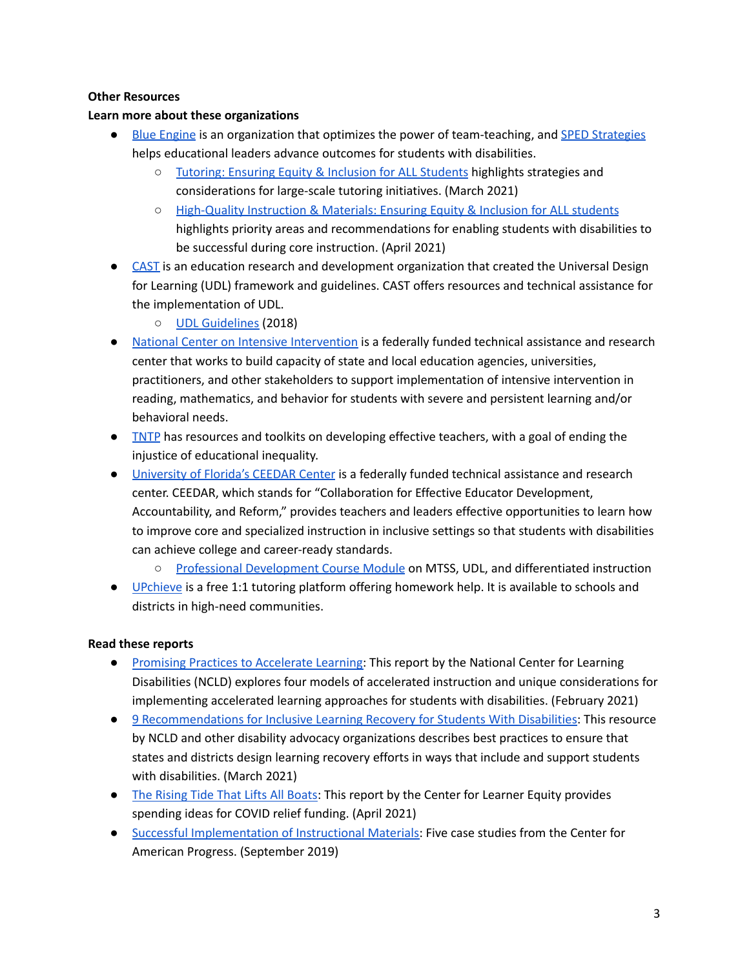## **Other Resources**

## **Learn more about these organizations**

- Blue [Engine](https://www.drkfoundation.org/organization/blue-engine/) is an organization that optimizes the power of team-teaching, and SPED [Strategies](http://spedstrategies.com/) helps educational leaders advance outcomes for students with disabilities.
	- [Tutoring:](https://www.blueengine.org/wp-content/uploads/2021/03/Blue-Engine-x-SPED-Strategies_Tutoring-Ensuring-Equity-and-Inclusion-for-ALL-Students.pdf?fbclid=IwAR3HdNAZNkw4su1qET71rdKYJalApMWYFncraSuyXp2idlVZGjohamPZbEA) Ensuring Equity & Inclusion for ALL Students highlights strategies and considerations for large-scale tutoring initiatives. (March 2021)
	- [High-Quality](https://www.blueengine.org/wp-content/uploads/2021/04/High-Quality-Instruction-Materials_Ensuring-Equity-Inclusion-for-ALL-Students.pdf) Instruction & Materials: Ensuring Equity & Inclusion for ALL students highlights priority areas and recommendations for enabling students with disabilities to be successful during core instruction. (April 2021)
- [CAST](https://www.cast.org/) is an education research and development organization that created the Universal Design for Learning (UDL) framework and guidelines. CAST offers resources and technical assistance for the implementation of UDL.
	- UDL [Guidelines](https://udlguidelines.cast.org/?utm_source=castsite&lutm_medium=web&utm_campaign=none&utm_content=aboutudl) (2018)
- National Center on Intensive [Intervention](https://intensiveintervention.org/) is a federally funded technical assistance and research center that works to build capacity of state and local education agencies, universities, practitioners, and other stakeholders to support implementation of intensive intervention in reading, mathematics, and behavior for students with severe and persistent learning and/or behavioral needs.
- **•** [TNTP](https://tntp.org/) has resources and toolkits on developing effective teachers, with a goal of ending the injustice of educational inequality.
- [University](https://ceedar.education.ufl.edu/mtssudldi-professional-development-module/) of Florida's CEEDAR Center is a federally funded technical assistance and research center. CEEDAR, which stands for "Collaboration for Effective Educator Development, Accountability, and Reform," provides teachers and leaders effective opportunities to learn how to improve core and specialized instruction in inclusive settings so that students with disabilities can achieve college and career-ready standards.
	- Professional [Development](https://ceedar.education.ufl.edu/mtssudldi-professional-development-module/) Course Module on MTSS, UDL, and differentiated instruction
- [UPchieve](https://upchieve.org/) is a free 1:1 tutoring platform offering homework help. It is available to schools and districts in high-need communities.

- Promising Practices to [Accelerate](https://www.ncld.org/reports-studies/promising-practices-to-accelerate-learning-for-students-with-disabilities-during-covid-19-and-beyond/) Learning: This report by the National Center for Learning Disabilities (NCLD) explores four models of accelerated instruction and unique considerations for implementing accelerated learning approaches for students with disabilities. (February 2021)
- 9 [Recommendations](https://www.ncld.org/wp-content/uploads/2021/03/9-Recommendations-for-Inclusive-Learning-Recovery-for-Students-with-Disabilities-Final-1.pdf) for Inclusive Learning Recovery for Students With Disabilities: This resource by NCLD and other disability advocacy organizations describes best practices to ensure that states and districts design learning recovery efforts in ways that include and support students with disabilities. (March 2021)
- The [Rising](https://www.centerforlearnerequity.org/wp-content/uploads/CLE-The-Rising-Tide-that-Lifts-All-Boats_-Investing-Stimulus-Dollars-with-an-Equity-Focus-6.pdf) Tide That Lifts All Boats: This report by the Center for Learner Equity provides spending ideas for COVID relief funding. (April 2021)
- Successful [Implementation](https://www.americanprogress.org/issues/education-k-12/reports/2019/09/20/474711/successful-implementation-high-quality-instructional-materials/) of Instructional Materials: Five case studies from the Center for American Progress. (September 2019)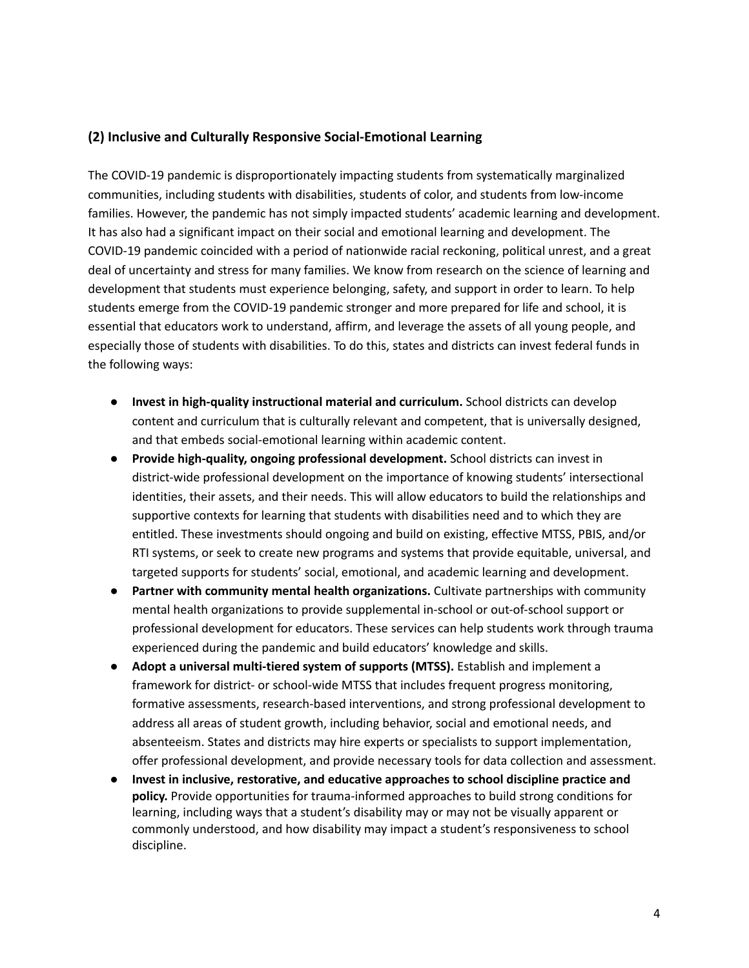# **(2) Inclusive and Culturally Responsive Social-Emotional Learning**

The COVID-19 pandemic is disproportionately impacting students from systematically marginalized communities, including students with disabilities, students of color, and students from low-income families. However, the pandemic has not simply impacted students' academic learning and development. It has also had a significant impact on their social and emotional learning and development. The COVID-19 pandemic coincided with a period of nationwide racial reckoning, political unrest, and a great deal of uncertainty and stress for many families. We know from research on the science of learning and development that students must experience belonging, safety, and support in order to learn. To help students emerge from the COVID-19 pandemic stronger and more prepared for life and school, it is essential that educators work to understand, affirm, and leverage the assets of all young people, and especially those of students with disabilities. To do this, states and districts can invest federal funds in the following ways:

- **Invest in high-quality instructional material and curriculum.** School districts can develop content and curriculum that is culturally relevant and competent, that is universally designed, and that embeds social-emotional learning within academic content.
- **Provide high-quality, ongoing professional development.** School districts can invest in district-wide professional development on the importance of knowing students' intersectional identities, their assets, and their needs. This will allow educators to build the relationships and supportive contexts for learning that students with disabilities need and to which they are entitled. These investments should ongoing and build on existing, effective MTSS, PBIS, and/or RTI systems, or seek to create new programs and systems that provide equitable, universal, and targeted supports for students' social, emotional, and academic learning and development.
- **Partner with community mental health organizations.** Cultivate partnerships with community mental health organizations to provide supplemental in-school or out-of-school support or professional development for educators. These services can help students work through trauma experienced during the pandemic and build educators' knowledge and skills.
- **Adopt a universal multi-tiered system of supports (MTSS).** Establish and implement a framework for district- or school-wide MTSS that includes frequent progress monitoring, formative assessments, research-based interventions, and strong professional development to address all areas of student growth, including behavior, social and emotional needs, and absenteeism. States and districts may hire experts or specialists to support implementation, offer professional development, and provide necessary tools for data collection and assessment.
- **Invest in inclusive, restorative, and educative approaches to school discipline practice and policy.** Provide opportunities for trauma-informed approaches to build strong conditions for learning, including ways that a student's disability may or may not be visually apparent or commonly understood, and how disability may impact a student's responsiveness to school discipline.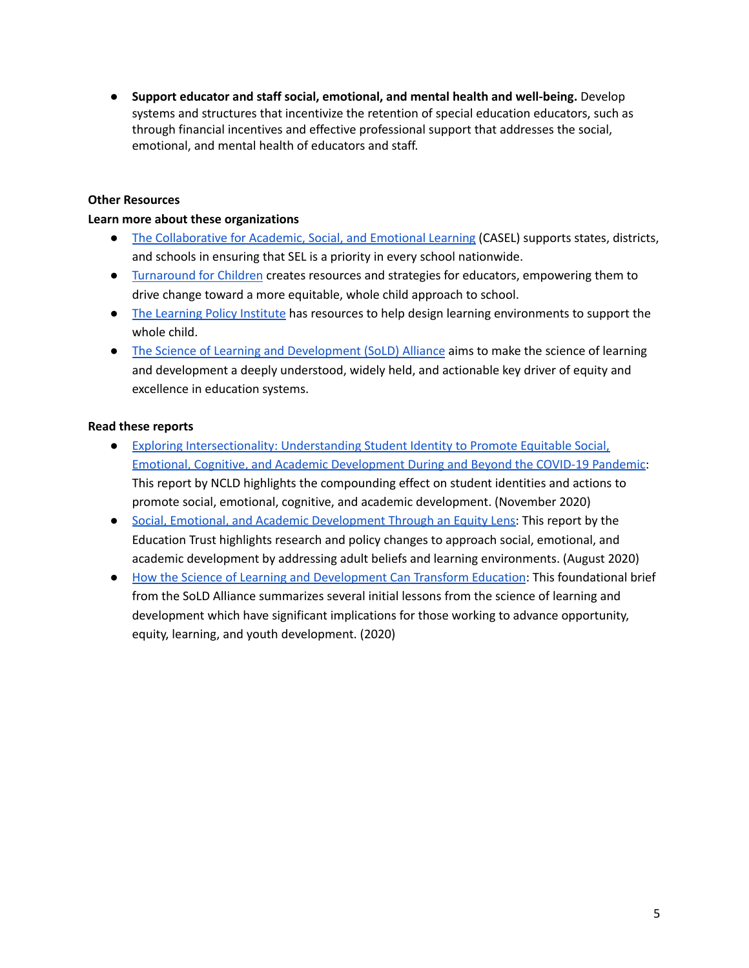● **Support educator and staff social, emotional, and mental health and well-being.** Develop systems and structures that incentivize the retention of special education educators, such as through financial incentives and effective professional support that addresses the social, emotional, and mental health of educators and staff.

## **Other Resources**

## **Learn more about these organizations**

- The [Collaborative](https://casel.org/) for Academic, Social, and Emotional Learning (CASEL) supports states, districts, and schools in ensuring that SEL is a priority in every school nationwide.
- [Turnaround](https://turnaroundusa.org/) for Children creates resources and strategies for educators, empowering them to drive change toward a more equitable, whole child approach to school.
- The [Learning](https://learningpolicyinstitute.org/issue/whole-child-education) Policy Institute has resources to help design learning environments to support the whole child.
- The Science of Learning and [Development](https://www.soldalliance.org/) (SoLD) Alliance aims to make the science of learning and development a deeply understood, widely held, and actionable key driver of equity and excellence in education systems.

- Exploring [Intersectionality:](https://www.ncld.org/wp-content/uploads/2020/11/2020-SEL_Exploring-Intersectionality-Guide_FINAL.pdf) Understanding Student Identity to Promote Equitable Social, Emotional, Cognitive, and Academic [Development](https://www.ncld.org/wp-content/uploads/2020/11/2020-SEL_Exploring-Intersectionality-Guide_FINAL.pdf) During and Beyond the COVID-19 Pandemic: This report by NCLD highlights the compounding effect on student identities and actions to promote social, emotional, cognitive, and academic development. (November 2020)
- Social, Emotional, and Academic [Development](https://edtrust.org/wp-content/uploads/2014/09/Social-Emotional-and-Academic-Development-Through-an-Equity-Lens-August-6-2020.pdf) Through an Equity Lens: This report by the Education Trust highlights research and policy changes to approach social, emotional, and academic development by addressing adult beliefs and learning environments. (August 2020)
- How the Science of Learning and [Development](https://5bde8401-9b54-4c2c-8a0c-569fc1789664.filesusr.com/ugd/eb0b6a_24f761d8a4ec4d7db13084eb2290c588.pdf) Can Transform Education: This foundational brief from the SoLD Alliance summarizes several initial lessons from the science of learning and development which have significant implications for those working to advance opportunity, equity, learning, and youth development. (2020)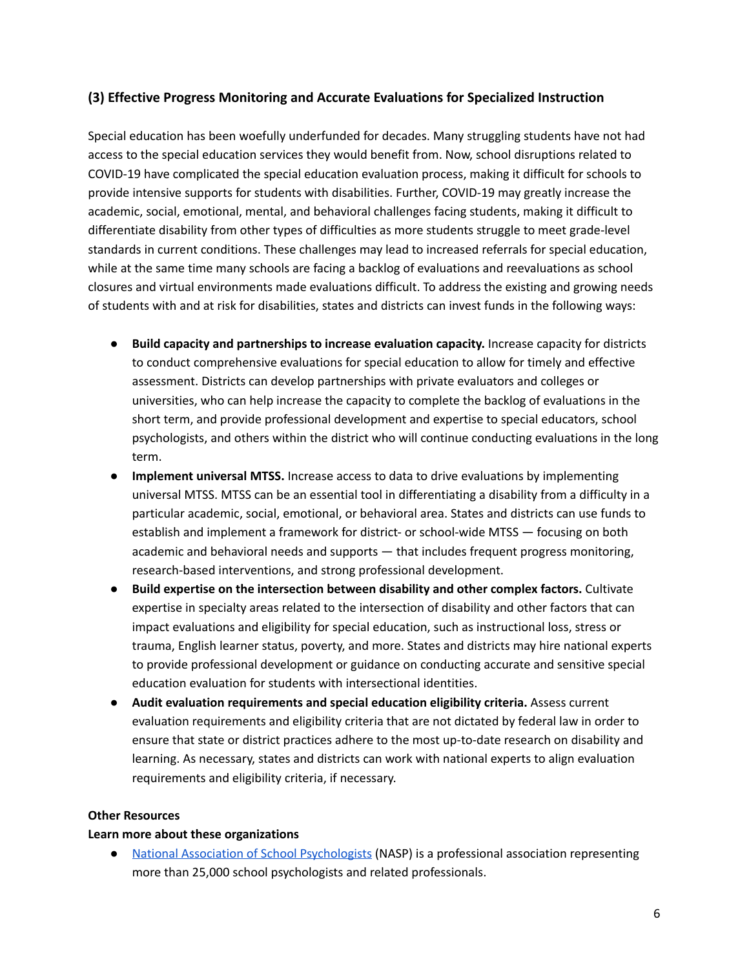# **(3) Effective Progress Monitoring and Accurate Evaluations for Specialized Instruction**

Special education has been woefully underfunded for decades. Many struggling students have not had access to the special education services they would benefit from. Now, school disruptions related to COVID-19 have complicated the special education evaluation process, making it difficult for schools to provide intensive supports for students with disabilities. Further, COVID-19 may greatly increase the academic, social, emotional, mental, and behavioral challenges facing students, making it difficult to differentiate disability from other types of difficulties as more students struggle to meet grade-level standards in current conditions. These challenges may lead to increased referrals for special education, while at the same time many schools are facing a backlog of evaluations and reevaluations as school closures and virtual environments made evaluations difficult. To address the existing and growing needs of students with and at risk for disabilities, states and districts can invest funds in the following ways:

- **Build capacity and partnerships to increase evaluation capacity.** Increase capacity for districts to conduct comprehensive evaluations for special education to allow for timely and effective assessment. Districts can develop partnerships with private evaluators and colleges or universities, who can help increase the capacity to complete the backlog of evaluations in the short term, and provide professional development and expertise to special educators, school psychologists, and others within the district who will continue conducting evaluations in the long term.
- **Implement universal MTSS.** Increase access to data to drive evaluations by implementing universal MTSS. MTSS can be an essential tool in differentiating a disability from a difficulty in a particular academic, social, emotional, or behavioral area. States and districts can use funds to establish and implement a framework for district- or school-wide MTSS — focusing on both academic and behavioral needs and supports — that includes frequent progress monitoring, research-based interventions, and strong professional development.
- **Build expertise on the intersection between disability and other complex factors.** Cultivate expertise in specialty areas related to the intersection of disability and other factors that can impact evaluations and eligibility for special education, such as instructional loss, stress or trauma, English learner status, poverty, and more. States and districts may hire national experts to provide professional development or guidance on conducting accurate and sensitive special education evaluation for students with intersectional identities.
- **Audit evaluation requirements and special education eligibility criteria.** Assess current evaluation requirements and eligibility criteria that are not dictated by federal law in order to ensure that state or district practices adhere to the most up-to-date research on disability and learning. As necessary, states and districts can work with national experts to align evaluation requirements and eligibility criteria, if necessary.

## **Other Resources**

## **Learn more about these organizations**

● National Association of School [Psychologists](https://www.nasponline.org/) (NASP) is a professional association representing more than 25,000 school psychologists and related professionals.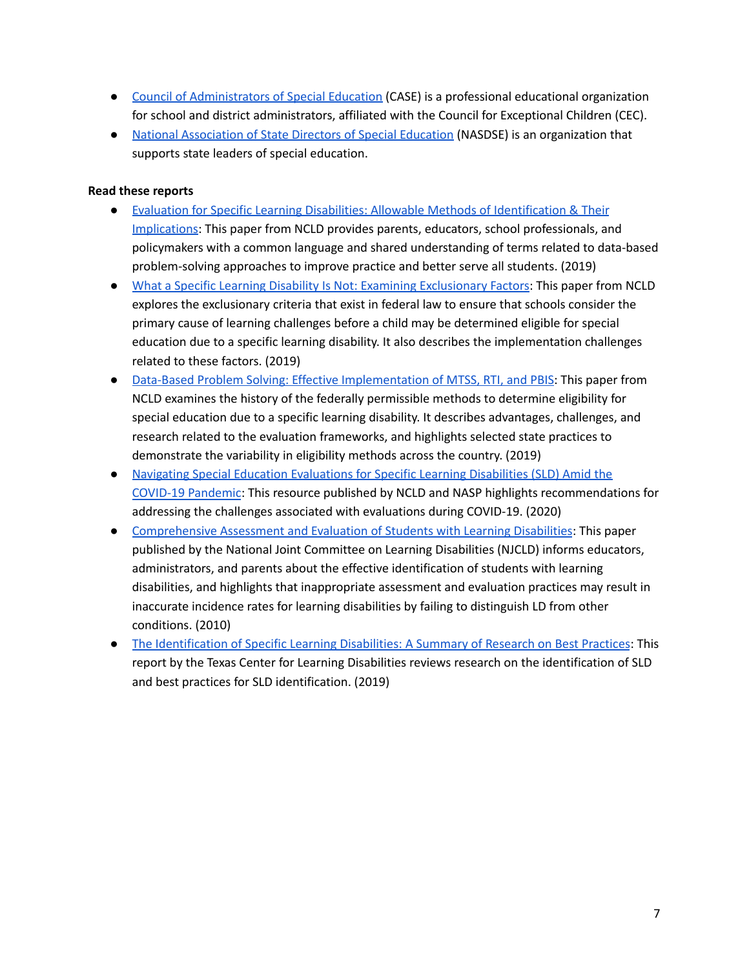- Council of [Administrators](https://www.casecec.org/) of Special Education (CASE) is a professional educational organization for school and district administrators, affiliated with the Council for Exceptional Children (CEC).
- National [Association](https://www.nasdse.org/) of State Directors of Special Education (NASDSE) is an organization that supports state leaders of special education.

- Evaluation for Specific Learning Disabilities: Allowable Methods of [Identification](https://www.ncld.org/wp-content/uploads/2019/11/NCLD-White-Paper-Evaluation-for-Specific-Learning-Disabilities-Allowable-Methods-of-Identification-Their-Implications.Final_.pdf) & Their [Implications](https://www.ncld.org/wp-content/uploads/2019/11/NCLD-White-Paper-Evaluation-for-Specific-Learning-Disabilities-Allowable-Methods-of-Identification-Their-Implications.Final_.pdf): This paper from NCLD provides parents, educators, school professionals, and policymakers with a common language and shared understanding of terms related to data-based problem-solving approaches to improve practice and better serve all students. (2019)
- What a Specific Learning Disability Is Not: Examining [Exclusionary](https://www.ncld.org/wp-content/uploads/2019/11/What-a-Specific-Learning-Disability-Is-Not-Examining-Exclusionary-Factors.12192019.pdf) Factors: This paper from NCLD explores the exclusionary criteria that exist in federal law to ensure that schools consider the primary cause of learning challenges before a child may be determined eligible for special education due to a specific learning disability. It also describes the implementation challenges related to these factors. (2019)
- Data-Based Problem Solving: Effective [Implementation](https://www.ncld.org/wp-content/uploads/2019/11/Essential-Components-of-Data-Based-Problem-Solving-Approaches.Final_.pdf) of MTSS, RTI, and PBIS: This paper from NCLD examines the history of the federally permissible methods to determine eligibility for special education due to a specific learning disability. It describes advantages, challenges, and research related to the evaluation frameworks, and highlights selected state practices to demonstrate the variability in eligibility methods across the country. (2019)
- Navigating Special Education [Evaluations](https://www.ncld.org/wp-content/uploads/2020/11/Navigating-Special-Education-Evaluations-for-Specific-Learning-Disabilities-SLD-Amid-the-COVID-19-Pandemic.pdf) for Specific Learning Disabilities (SLD) Amid the COVID-19 [Pandemic](https://www.ncld.org/wp-content/uploads/2020/11/Navigating-Special-Education-Evaluations-for-Specific-Learning-Disabilities-SLD-Amid-the-COVID-19-Pandemic.pdf): This resource published by NCLD and NASP highlights recommendations for addressing the challenges associated with evaluations during COVID-19. (2020)
- [Comprehensive](http://www.ldonline.org/article/54711/) Assessment and Evaluation of Students with Learning Disabilities: This paper published by the National Joint Committee on Learning Disabilities (NJCLD) informs educators, administrators, and parents about the effective identification of students with learning disabilities, and highlights that inappropriate assessment and evaluation practices may result in inaccurate incidence rates for learning disabilities by failing to distinguish LD from other conditions. (2010)
- The [Identification](https://www.texasldcenter.org/files/resources/SLD-Manual_Final.pdf) of Specific Learning Disabilities: A Summary of Research on Best Practices: This report by the Texas Center for Learning Disabilities reviews research on the identification of SLD and best practices for SLD identification. (2019)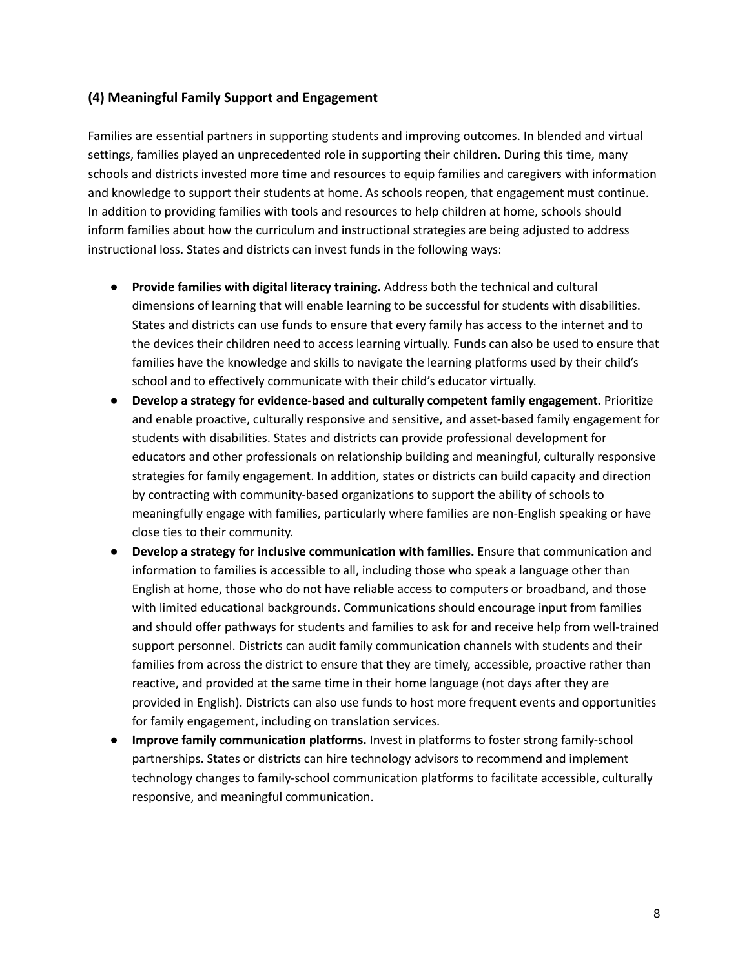# **(4) Meaningful Family Support and Engagement**

Families are essential partners in supporting students and improving outcomes. In blended and virtual settings, families played an unprecedented role in supporting their children. During this time, many schools and districts invested more time and resources to equip families and caregivers with information and knowledge to support their students at home. As schools reopen, that engagement must continue. In addition to providing families with tools and resources to help children at home, schools should inform families about how the curriculum and instructional strategies are being adjusted to address instructional loss. States and districts can invest funds in the following ways:

- **Provide families with digital literacy training.** Address both the technical and cultural dimensions of learning that will enable learning to be successful for students with disabilities. States and districts can use funds to ensure that every family has access to the internet and to the devices their children need to access learning virtually. Funds can also be used to ensure that families have the knowledge and skills to navigate the learning platforms used by their child's school and to effectively communicate with their child's educator virtually.
- **Develop a strategy for evidence-based and culturally competent family engagement.** Prioritize and enable proactive, culturally responsive and sensitive, and asset-based family engagement for students with disabilities. States and districts can provide professional development for educators and other professionals on relationship building and meaningful, culturally responsive strategies for family engagement. In addition, states or districts can build capacity and direction by contracting with community-based organizations to support the ability of schools to meaningfully engage with families, particularly where families are non-English speaking or have close ties to their community.
- **Develop a strategy for inclusive communication with families.** Ensure that communication and information to families is accessible to all, including those who speak a language other than English at home, those who do not have reliable access to computers or broadband, and those with limited educational backgrounds. Communications should encourage input from families and should offer pathways for students and families to ask for and receive help from well-trained support personnel. Districts can audit family communication channels with students and their families from across the district to ensure that they are timely, accessible, proactive rather than reactive, and provided at the same time in their home language (not days after they are provided in English). Districts can also use funds to host more frequent events and opportunities for family engagement, including on translation services.
- **Improve family communication platforms.** Invest in platforms to foster strong family-school partnerships. States or districts can hire technology advisors to recommend and implement technology changes to family-school communication platforms to facilitate accessible, culturally responsive, and meaningful communication.